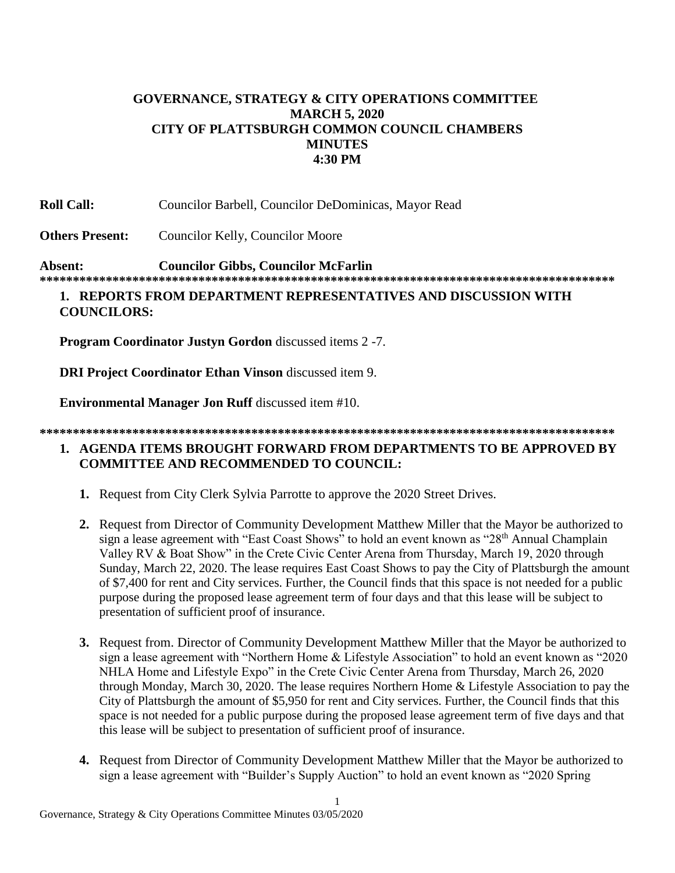# **GOVERNANCE, STRATEGY & CITY OPERATIONS COMMITTEE MARCH 5, 2020 CITY OF PLATTSBURGH COMMON COUNCIL CHAMBERS MINUTES 4:30 PM**

**Roll Call:** Councilor Barbell, Councilor DeDominicas, Mayor Read

**Others Present:** Councilor Kelly, Councilor Moore

**Absent: Councilor Gibbs, Councilor McFarlin \*\*\*\*\*\*\*\*\*\*\*\*\*\*\*\*\*\*\*\*\*\*\*\*\*\*\*\*\*\*\*\*\*\*\*\*\*\*\*\*\*\*\*\*\*\*\*\*\*\*\*\*\*\*\*\*\*\*\*\*\*\*\*\*\*\*\*\*\*\*\*\*\*\*\*\*\*\*\*\*\*\*\*\*\*\*\***

## **1. REPORTS FROM DEPARTMENT REPRESENTATIVES AND DISCUSSION WITH COUNCILORS:**

**Program Coordinator Justyn Gordon** discussed items 2 -7.

**DRI Project Coordinator Ethan Vinson** discussed item 9.

**Environmental Manager Jon Ruff** discussed item #10.

### **\*\*\*\*\*\*\*\*\*\*\*\*\*\*\*\*\*\*\*\*\*\*\*\*\*\*\*\*\*\*\*\*\*\*\*\*\*\*\*\*\*\*\*\*\*\*\*\*\*\*\*\*\*\*\*\*\*\*\*\*\*\*\*\*\*\*\*\*\*\*\*\*\*\*\*\*\*\*\*\*\*\*\*\*\*\*\* 1. AGENDA ITEMS BROUGHT FORWARD FROM DEPARTMENTS TO BE APPROVED BY COMMITTEE AND RECOMMENDED TO COUNCIL:**

- **1.** Request from City Clerk Sylvia Parrotte to approve the 2020 Street Drives.
- **2.** Request from Director of Community Development Matthew Miller that the Mayor be authorized to sign a lease agreement with "East Coast Shows" to hold an event known as "28<sup>th</sup> Annual Champlain Valley RV & Boat Show" in the Crete Civic Center Arena from Thursday, March 19, 2020 through Sunday, March 22, 2020. The lease requires East Coast Shows to pay the City of Plattsburgh the amount of \$7,400 for rent and City services. Further, the Council finds that this space is not needed for a public purpose during the proposed lease agreement term of four days and that this lease will be subject to presentation of sufficient proof of insurance.
- **3.** Request from. Director of Community Development Matthew Miller that the Mayor be authorized to sign a lease agreement with "Northern Home & Lifestyle Association" to hold an event known as "2020 NHLA Home and Lifestyle Expo" in the Crete Civic Center Arena from Thursday, March 26, 2020 through Monday, March 30, 2020. The lease requires Northern Home & Lifestyle Association to pay the City of Plattsburgh the amount of \$5,950 for rent and City services. Further, the Council finds that this space is not needed for a public purpose during the proposed lease agreement term of five days and that this lease will be subject to presentation of sufficient proof of insurance.
- **4.** Request from Director of Community Development Matthew Miller that the Mayor be authorized to sign a lease agreement with "Builder's Supply Auction" to hold an event known as "2020 Spring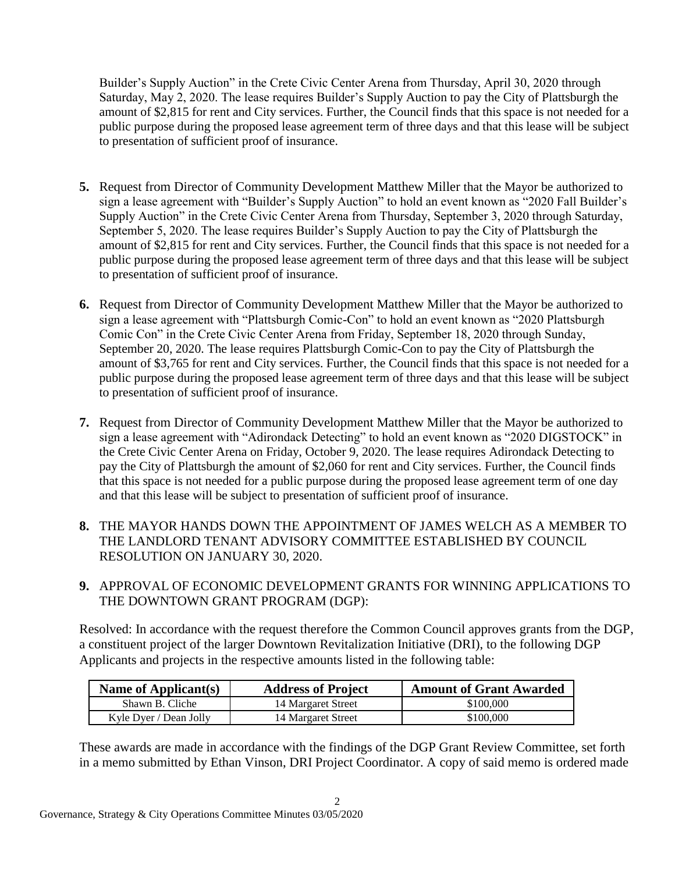Builder's Supply Auction" in the Crete Civic Center Arena from Thursday, April 30, 2020 through Saturday, May 2, 2020. The lease requires Builder's Supply Auction to pay the City of Plattsburgh the amount of \$2,815 for rent and City services. Further, the Council finds that this space is not needed for a public purpose during the proposed lease agreement term of three days and that this lease will be subject to presentation of sufficient proof of insurance.

- **5.** Request from Director of Community Development Matthew Miller that the Mayor be authorized to sign a lease agreement with "Builder's Supply Auction" to hold an event known as "2020 Fall Builder's Supply Auction" in the Crete Civic Center Arena from Thursday, September 3, 2020 through Saturday, September 5, 2020. The lease requires Builder's Supply Auction to pay the City of Plattsburgh the amount of \$2,815 for rent and City services. Further, the Council finds that this space is not needed for a public purpose during the proposed lease agreement term of three days and that this lease will be subject to presentation of sufficient proof of insurance.
- **6.** Request from Director of Community Development Matthew Miller that the Mayor be authorized to sign a lease agreement with "Plattsburgh Comic-Con" to hold an event known as "2020 Plattsburgh Comic Con" in the Crete Civic Center Arena from Friday, September 18, 2020 through Sunday, September 20, 2020. The lease requires Plattsburgh Comic-Con to pay the City of Plattsburgh the amount of \$3,765 for rent and City services. Further, the Council finds that this space is not needed for a public purpose during the proposed lease agreement term of three days and that this lease will be subject to presentation of sufficient proof of insurance.
- **7.** Request from Director of Community Development Matthew Miller that the Mayor be authorized to sign a lease agreement with "Adirondack Detecting" to hold an event known as "2020 DIGSTOCK" in the Crete Civic Center Arena on Friday, October 9, 2020. The lease requires Adirondack Detecting to pay the City of Plattsburgh the amount of \$2,060 for rent and City services. Further, the Council finds that this space is not needed for a public purpose during the proposed lease agreement term of one day and that this lease will be subject to presentation of sufficient proof of insurance.
- **8.** THE MAYOR HANDS DOWN THE APPOINTMENT OF JAMES WELCH AS A MEMBER TO THE LANDLORD TENANT ADVISORY COMMITTEE ESTABLISHED BY COUNCIL RESOLUTION ON JANUARY 30, 2020.
- **9.** APPROVAL OF ECONOMIC DEVELOPMENT GRANTS FOR WINNING APPLICATIONS TO THE DOWNTOWN GRANT PROGRAM (DGP):

Resolved: In accordance with the request therefore the Common Council approves grants from the DGP, a constituent project of the larger Downtown Revitalization Initiative (DRI), to the following DGP Applicants and projects in the respective amounts listed in the following table:

| Name of Applicant(s)   | <b>Address of Project</b> | <b>Amount of Grant Awarded</b> |
|------------------------|---------------------------|--------------------------------|
| Shawn B. Cliche        | 14 Margaret Street        | \$100,000                      |
| Kyle Dyer / Dean Jolly | 14 Margaret Street        | \$100,000                      |

These awards are made in accordance with the findings of the DGP Grant Review Committee, set forth in a memo submitted by Ethan Vinson, DRI Project Coordinator. A copy of said memo is ordered made